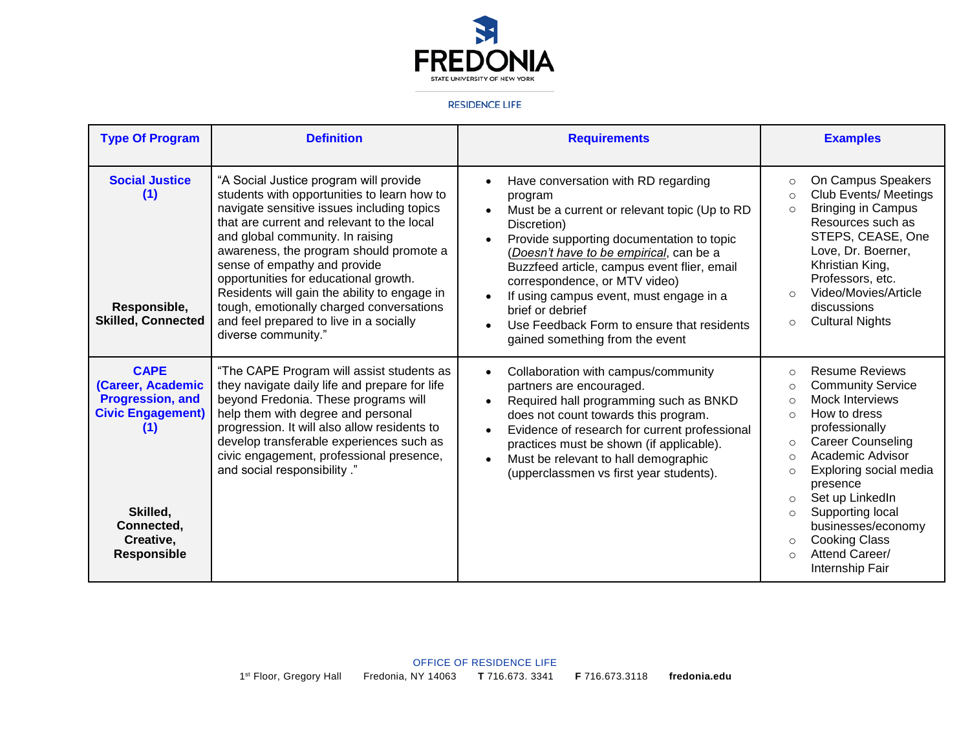

## **RESIDENCE LIFE**

| <b>Type Of Program</b>                                                                                                                                      | <b>Definition</b>                                                                                                                                                                                                                                                                                                                                                                                                                                                                                       | <b>Requirements</b>                                                                                                                                                                                                                                                                                                                                                                                                                                 | <b>Examples</b>                                                                                                                                                                                                                                                                                                                                                                                                                                       |
|-------------------------------------------------------------------------------------------------------------------------------------------------------------|---------------------------------------------------------------------------------------------------------------------------------------------------------------------------------------------------------------------------------------------------------------------------------------------------------------------------------------------------------------------------------------------------------------------------------------------------------------------------------------------------------|-----------------------------------------------------------------------------------------------------------------------------------------------------------------------------------------------------------------------------------------------------------------------------------------------------------------------------------------------------------------------------------------------------------------------------------------------------|-------------------------------------------------------------------------------------------------------------------------------------------------------------------------------------------------------------------------------------------------------------------------------------------------------------------------------------------------------------------------------------------------------------------------------------------------------|
| <b>Social Justice</b><br>(1)<br>Responsible,<br><b>Skilled, Connected</b>                                                                                   | "A Social Justice program will provide<br>students with opportunities to learn how to<br>navigate sensitive issues including topics<br>that are current and relevant to the local<br>and global community. In raising<br>awareness, the program should promote a<br>sense of empathy and provide<br>opportunities for educational growth.<br>Residents will gain the ability to engage in<br>tough, emotionally charged conversations<br>and feel prepared to live in a socially<br>diverse community." | Have conversation with RD regarding<br>$\bullet$<br>program<br>Must be a current or relevant topic (Up to RD<br>Discretion)<br>Provide supporting documentation to topic<br>(Doesn't have to be empirical, can be a<br>Buzzfeed article, campus event flier, email<br>correspondence, or MTV video)<br>If using campus event, must engage in a<br>brief or debrief<br>Use Feedback Form to ensure that residents<br>gained something from the event | On Campus Speakers<br>$\circ$<br><b>Club Events/ Meetings</b><br>$\circ$<br><b>Bringing in Campus</b><br>$\circ$<br>Resources such as<br>STEPS, CEASE, One<br>Love, Dr. Boerner,<br>Khristian King,<br>Professors, etc.<br>Video/Movies/Article<br>discussions<br><b>Cultural Nights</b><br>$\circ$                                                                                                                                                   |
| <b>CAPE</b><br>(Career, Academic<br><b>Progression, and</b><br><b>Civic Engagement)</b><br>(1)<br>Skilled,<br>Connected,<br>Creative,<br><b>Responsible</b> | "The CAPE Program will assist students as<br>they navigate daily life and prepare for life<br>beyond Fredonia. These programs will<br>help them with degree and personal<br>progression. It will also allow residents to<br>develop transferable experiences such as<br>civic engagement, professional presence,<br>and social responsibility."                                                                                                                                                         | Collaboration with campus/community<br>$\bullet$<br>partners are encouraged.<br>Required hall programming such as BNKD<br>$\bullet$<br>does not count towards this program.<br>Evidence of research for current professional<br>practices must be shown (if applicable).<br>Must be relevant to hall demographic<br>$\bullet$<br>(upperclassmen vs first year students).                                                                            | <b>Resume Reviews</b><br>$\circ$<br><b>Community Service</b><br>$\circ$<br>Mock Interviews<br>$\bigcirc$<br>How to dress<br>$\circ$<br>professionally<br><b>Career Counseling</b><br>$\circ$<br>Academic Advisor<br>$\bigcirc$<br>Exploring social media<br>$\circ$<br>presence<br>Set up LinkedIn<br>$\circ$<br>Supporting local<br>$\circ$<br>businesses/economy<br><b>Cooking Class</b><br>$\circ$<br>Attend Career/<br>$\circ$<br>Internship Fair |